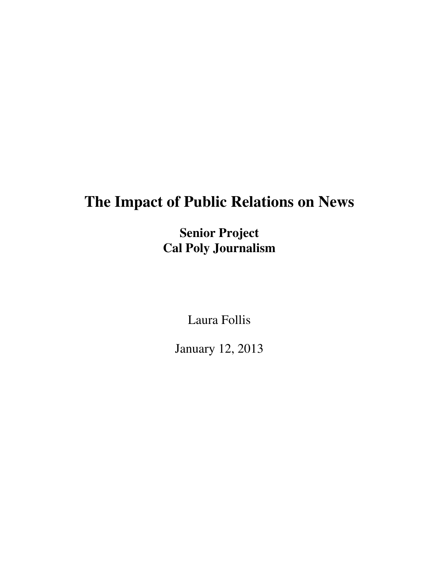# **The Impact of Public Relations on News**

**Senior Project Cal Poly Journalism** 

Laura Follis

January 12, 2013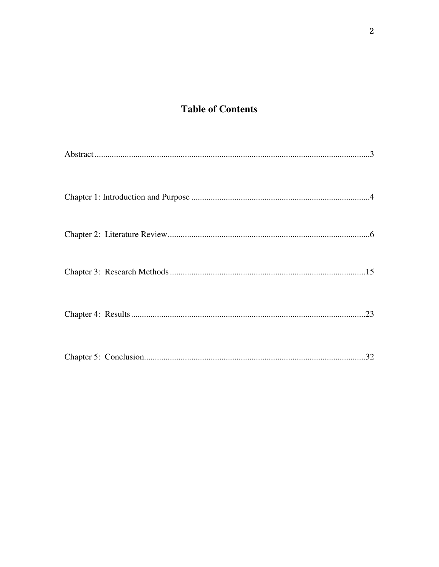## **Table of Contents**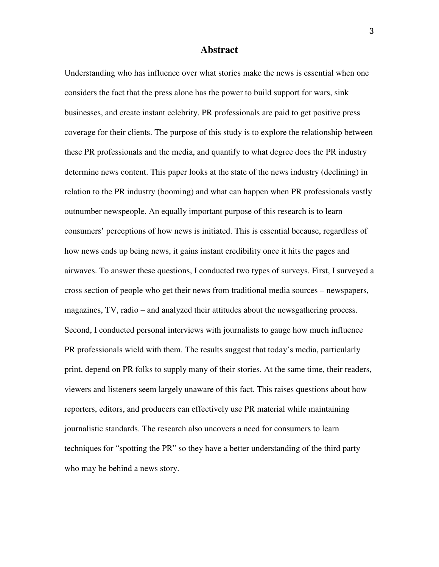#### **Abstract**

Understanding who has influence over what stories make the news is essential when one considers the fact that the press alone has the power to build support for wars, sink businesses, and create instant celebrity. PR professionals are paid to get positive press coverage for their clients. The purpose of this study is to explore the relationship between these PR professionals and the media, and quantify to what degree does the PR industry determine news content. This paper looks at the state of the news industry (declining) in relation to the PR industry (booming) and what can happen when PR professionals vastly outnumber newspeople. An equally important purpose of this research is to learn consumers' perceptions of how news is initiated. This is essential because, regardless of how news ends up being news, it gains instant credibility once it hits the pages and airwaves. To answer these questions, I conducted two types of surveys. First, I surveyed a cross section of people who get their news from traditional media sources – newspapers, magazines, TV, radio – and analyzed their attitudes about the newsgathering process. Second, I conducted personal interviews with journalists to gauge how much influence PR professionals wield with them. The results suggest that today's media, particularly print, depend on PR folks to supply many of their stories. At the same time, their readers, viewers and listeners seem largely unaware of this fact. This raises questions about how reporters, editors, and producers can effectively use PR material while maintaining journalistic standards. The research also uncovers a need for consumers to learn techniques for "spotting the PR" so they have a better understanding of the third party who may be behind a news story.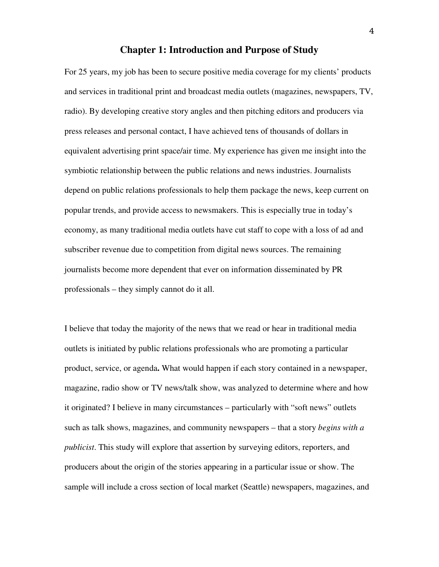#### **Chapter 1: Introduction and Purpose of Study**

For 25 years, my job has been to secure positive media coverage for my clients' products and services in traditional print and broadcast media outlets (magazines, newspapers, TV, radio). By developing creative story angles and then pitching editors and producers via press releases and personal contact, I have achieved tens of thousands of dollars in equivalent advertising print space/air time. My experience has given me insight into the symbiotic relationship between the public relations and news industries. Journalists depend on public relations professionals to help them package the news, keep current on popular trends, and provide access to newsmakers. This is especially true in today's economy, as many traditional media outlets have cut staff to cope with a loss of ad and subscriber revenue due to competition from digital news sources. The remaining journalists become more dependent that ever on information disseminated by PR professionals – they simply cannot do it all.

I believe that today the majority of the news that we read or hear in traditional media outlets is initiated by public relations professionals who are promoting a particular product, service, or agenda**.** What would happen if each story contained in a newspaper, magazine, radio show or TV news/talk show, was analyzed to determine where and how it originated? I believe in many circumstances – particularly with "soft news" outlets such as talk shows, magazines, and community newspapers – that a story *begins with a publicist*. This study will explore that assertion by surveying editors, reporters, and producers about the origin of the stories appearing in a particular issue or show. The sample will include a cross section of local market (Seattle) newspapers, magazines, and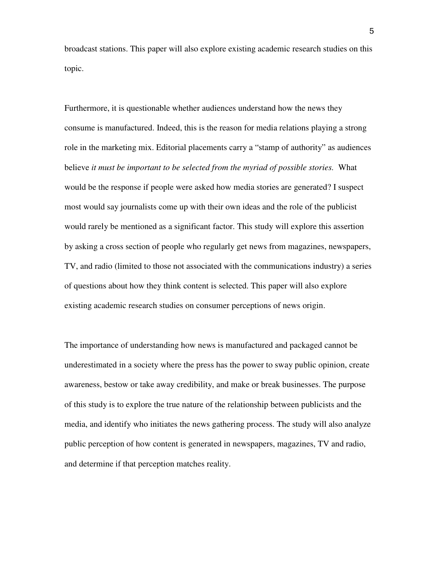broadcast stations. This paper will also explore existing academic research studies on this topic.

Furthermore, it is questionable whether audiences understand how the news they consume is manufactured. Indeed, this is the reason for media relations playing a strong role in the marketing mix. Editorial placements carry a "stamp of authority" as audiences believe *it must be important to be selected from the myriad of possible stories.* What would be the response if people were asked how media stories are generated? I suspect most would say journalists come up with their own ideas and the role of the publicist would rarely be mentioned as a significant factor. This study will explore this assertion by asking a cross section of people who regularly get news from magazines, newspapers, TV, and radio (limited to those not associated with the communications industry) a series of questions about how they think content is selected. This paper will also explore existing academic research studies on consumer perceptions of news origin.

The importance of understanding how news is manufactured and packaged cannot be underestimated in a society where the press has the power to sway public opinion, create awareness, bestow or take away credibility, and make or break businesses. The purpose of this study is to explore the true nature of the relationship between publicists and the media, and identify who initiates the news gathering process. The study will also analyze public perception of how content is generated in newspapers, magazines, TV and radio, and determine if that perception matches reality.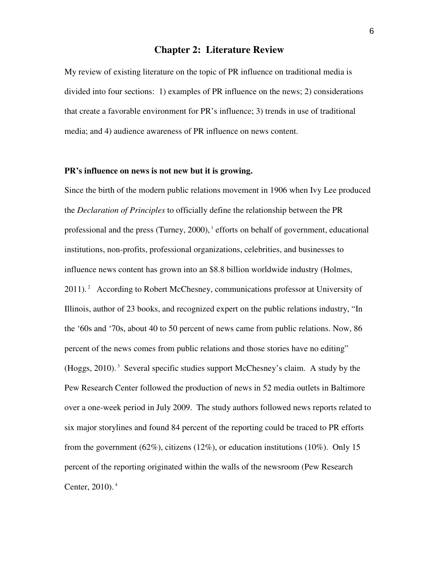#### **Chapter 2: Literature Review**

My review of existing literature on the topic of PR influence on traditional media is divided into four sections: 1) examples of PR influence on the news; 2) considerations that create a favorable environment for PR's influence; 3) trends in use of traditional media; and 4) audience awareness of PR influence on news content.

#### **PR's influence on news is not new but it is growing.**

Since the birth of the modern public relations movement in 1906 when Ivy Lee produced the *Declaration of Principles* to officially define the relationship between the PR professional and the press (Turney,  $2000$ ),  $\frac{1}{1}$  efforts on behalf of government, educational institutions, non-profits, professional organizations, celebrities, and businesses to influence news content has grown into an \$8.8 billion worldwide industry (Holmes, 2011).<sup>2</sup> According to Robert McChesney, communications professor at University of Illinois, author of 23 books, and recognized expert on the public relations industry, "In the '60s and '70s, about 40 to 50 percent of news came from public relations. Now, 86 percent of the news comes from public relations and those stories have no editing"  $(Hoggs, 2010)$ .<sup>3</sup> Several specific studies support McChesney's claim. A study by the Pew Research Center followed the production of news in 52 media outlets in Baltimore over a one-week period in July 2009. The study authors followed news reports related to six major storylines and found 84 percent of the reporting could be traced to PR efforts from the government (62%), citizens (12%), or education institutions (10%). Only 15 percent of the reporting originated within the walls of the newsroom (Pew Research Center, 2010). 4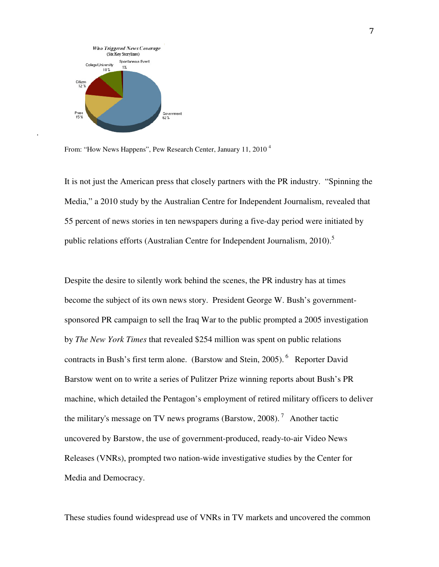

.

From: "How News Happens", Pew Research Center, January 11, 2010<sup>4</sup>

It is not just the American press that closely partners with the PR industry. "Spinning the Media," a 2010 study by the Australian Centre for Independent Journalism, revealed that 55 percent of news stories in ten newspapers during a five-day period were initiated by public relations efforts (Australian Centre for Independent Journalism,  $2010$ ).<sup>5</sup>

Despite the desire to silently work behind the scenes, the PR industry has at times become the subject of its own news story. President George W. Bush's governmentsponsored PR campaign to sell the Iraq War to the public prompted a 2005 investigation by *The New York Times* that revealed \$254 million was spent on public relations contracts in Bush's first term alone. (Barstow and Stein, 2005).<sup>6</sup> Reporter David Barstow went on to write a series of Pulitzer Prize winning reports about Bush's PR machine, which detailed the Pentagon's employment of retired military officers to deliver the military's message on TV news programs (Barstow, 2008).<sup>7</sup> Another tactic uncovered by Barstow, the use of government-produced, ready-to-air Video News Releases (VNRs), prompted two nation-wide investigative studies by the Center for Media and Democracy.

These studies found widespread use of VNRs in TV markets and uncovered the common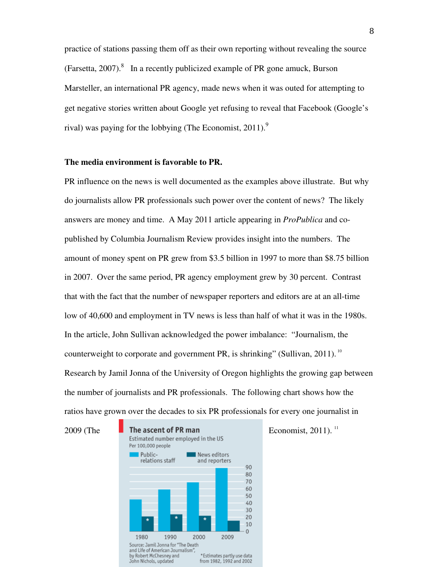practice of stations passing them off as their own reporting without revealing the source (Farsetta, 2007).<sup>8</sup> In a recently publicized example of PR gone amuck, Burson Marsteller, an international PR agency, made news when it was outed for attempting to get negative stories written about Google yet refusing to reveal that Facebook (Google's rival) was paying for the lobbying (The Economist,  $2011$ ).<sup>9</sup>

#### **The media environment is favorable to PR.**

PR influence on the news is well documented as the examples above illustrate. But why do journalists allow PR professionals such power over the content of news? The likely answers are money and time. A May 2011 article appearing in *ProPublica* and copublished by Columbia Journalism Review provides insight into the numbers. The amount of money spent on PR grew from \$3.5 billion in 1997 to more than \$8.75 billion in 2007. Over the same period, PR agency employment grew by 30 percent. Contrast that with the fact that the number of newspaper reporters and editors are at an all-time low of 40,600 and employment in TV news is less than half of what it was in the 1980s. In the article, John Sullivan acknowledged the power imbalance: "Journalism, the counterweight to corporate and government PR, is shrinking" (Sullivan, 2011).<sup>10</sup> Research by Jamil Jonna of the University of Oregon highlights the growing gap between the number of journalists and PR professionals. The following chart shows how the ratios have grown over the decades to six PR professionals for every one journalist in

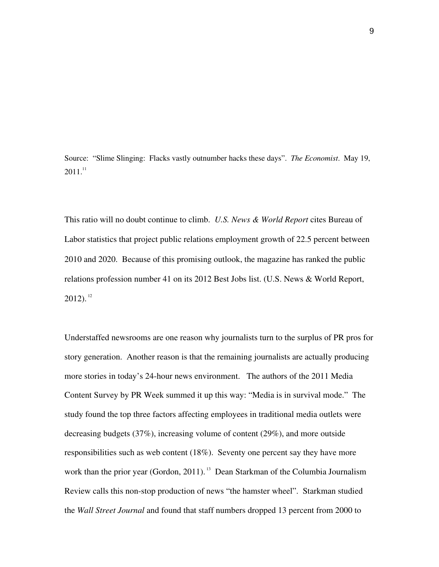Source: "Slime Slinging: Flacks vastly outnumber hacks these days". *The Economist*. May 19,  $2011.<sup>11</sup>$ 

This ratio will no doubt continue to climb. *U.S. News & World Report* cites Bureau of Labor statistics that project public relations employment growth of 22.5 percent between 2010 and 2020. Because of this promising outlook, the magazine has ranked the public relations profession number 41 on its 2012 Best Jobs list. (U.S. News & World Report,  $2012$ ).<sup>12</sup>

Understaffed newsrooms are one reason why journalists turn to the surplus of PR pros for story generation. Another reason is that the remaining journalists are actually producing more stories in today's 24-hour news environment. The authors of the 2011 Media Content Survey by PR Week summed it up this way: "Media is in survival mode." The study found the top three factors affecting employees in traditional media outlets were decreasing budgets (37%), increasing volume of content (29%), and more outside responsibilities such as web content (18%). Seventy one percent say they have more work than the prior year (Gordon, 2011).<sup>13</sup> Dean Starkman of the Columbia Journalism Review calls this non-stop production of news "the hamster wheel". Starkman studied the *Wall Street Journal* and found that staff numbers dropped 13 percent from 2000 to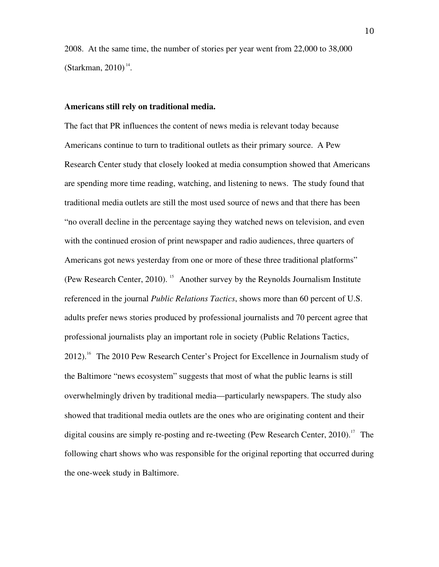2008. At the same time, the number of stories per year went from 22,000 to 38,000  $(Starkman, 2010)^{14}$ .

#### **Americans still rely on traditional media.**

The fact that PR influences the content of news media is relevant today because Americans continue to turn to traditional outlets as their primary source. A Pew Research Center study that closely looked at media consumption showed that Americans are spending more time reading, watching, and listening to news. The study found that traditional media outlets are still the most used source of news and that there has been "no overall decline in the percentage saying they watched news on television, and even with the continued erosion of print newspaper and radio audiences, three quarters of Americans got news yesterday from one or more of these three traditional platforms" (Pew Research Center, 2010). <sup>15</sup> Another survey by the Reynolds Journalism Institute referenced in the journal *Public Relations Tactics*, shows more than 60 percent of U.S. adults prefer news stories produced by professional journalists and 70 percent agree that professional journalists play an important role in society (Public Relations Tactics,  $2012$ .<sup>16</sup> The 2010 Pew Research Center's Project for Excellence in Journalism study of the Baltimore "news ecosystem" suggests that most of what the public learns is still overwhelmingly driven by traditional media—particularly newspapers. The study also showed that traditional media outlets are the ones who are originating content and their digital cousins are simply re-posting and re-tweeting (Pew Research Center, 2010).<sup>17</sup> The following chart shows who was responsible for the original reporting that occurred during the one-week study in Baltimore.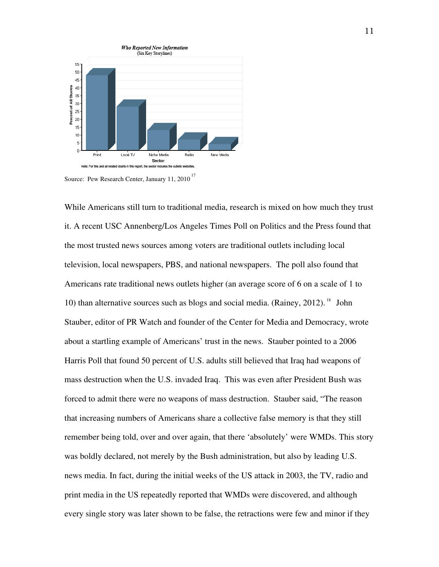



While Americans still turn to traditional media, research is mixed on how much they trust it. A recent USC Annenberg/Los Angeles Times Poll on Politics and the Press found that the most trusted news sources among voters are traditional outlets including local television, local newspapers, PBS, and national newspapers. The poll also found that Americans rate traditional news outlets higher (an average score of 6 on a scale of 1 to 10) than alternative sources such as blogs and social media. (Rainey, 2012).<sup>18</sup> John Stauber, editor of PR Watch and founder of the Center for Media and Democracy, wrote about a startling example of Americans' trust in the news. Stauber pointed to a 2006 Harris Poll that found 50 percent of U.S. adults still believed that Iraq had weapons of mass destruction when the U.S. invaded Iraq. This was even after President Bush was forced to admit there were no weapons of mass destruction. Stauber said, "The reason that increasing numbers of Americans share a collective false memory is that they still remember being told, over and over again, that there 'absolutely' were WMDs. This story was boldly declared, not merely by the Bush administration, but also by leading U.S. news media. In fact, during the initial weeks of the US attack in 2003, the TV, radio and print media in the US repeatedly reported that WMDs were discovered, and although every single story was later shown to be false, the retractions were few and minor if they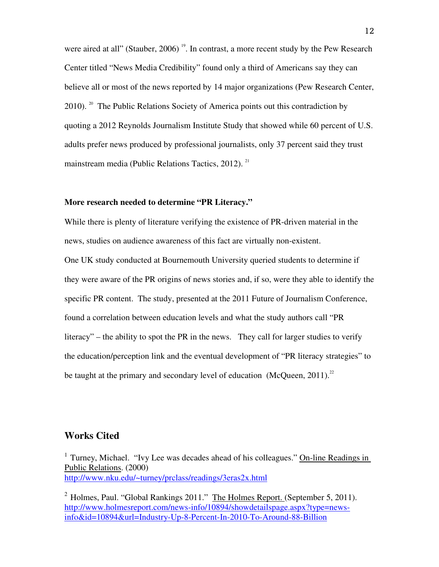were aired at all" (Stauber, 2006)<sup>19</sup>. In contrast, a more recent study by the Pew Research Center titled "News Media Credibility" found only a third of Americans say they can believe all or most of the news reported by 14 major organizations (Pew Research Center, 2010). <sup>20</sup> The Public Relations Society of America points out this contradiction by quoting a 2012 Reynolds Journalism Institute Study that showed while 60 percent of U.S. adults prefer news produced by professional journalists, only 37 percent said they trust mainstream media (Public Relations Tactics, 2012).<sup>21</sup>

#### **More research needed to determine "PR Literacy."**

While there is plenty of literature verifying the existence of PR-driven material in the news, studies on audience awareness of this fact are virtually non-existent.

One UK study conducted at Bournemouth University queried students to determine if they were aware of the PR origins of news stories and, if so, were they able to identify the specific PR content. The study, presented at the 2011 Future of Journalism Conference, found a correlation between education levels and what the study authors call "PR literacy" – the ability to spot the PR in the news. They call for larger studies to verify the education/perception link and the eventual development of "PR literacy strategies" to be taught at the primary and secondary level of education (McQueen,  $2011$ ).<sup>22</sup>

#### **Works Cited**

<sup>1</sup> Turney, Michael. "Ivy Lee was decades ahead of his colleagues." On-line Readings in Public Relations. (2000) http://www.nku.edu/~turney/prclass/readings/3eras2x.html

<sup>2</sup> Holmes, Paul. "Global Rankings 2011." The Holmes Report. (September 5, 2011). http://www.holmesreport.com/news-info/10894/showdetailspage.aspx?type=newsinfo&id=10894&url=Industry-Up-8-Percent-In-2010-To-Around-88-Billion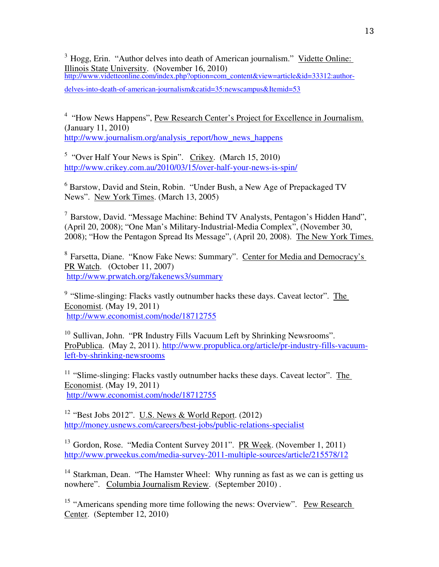<sup>3</sup> Hogg, Erin. "Author delves into death of American journalism." Vidette Online: Illinois State University. (November 16, 2010) http://www.videtteonline.com/index.php?option=com\_content&view=article&id=33312:author-

delves-into-death-of-american-journalism&catid=35:newscampus&Itemid=53

<sup>4</sup> "How News Happens", Pew Research Center's Project for Excellence in Journalism. (January 11, 2010) http://www.journalism.org/analysis\_report/how\_news\_happens

<sup>5</sup> "Over Half Your News is Spin". Crikey. (March 15, 2010) http://www.crikey.com.au/2010/03/15/over-half-your-news-is-spin/

<sup>6</sup> Barstow, David and Stein, Robin. "Under Bush, a New Age of Prepackaged TV News". New York Times. (March 13, 2005)

<sup>7</sup>Barstow, David. "Message Machine: Behind TV Analysts, Pentagon's Hidden Hand", (April 20, 2008); "One Man's Military-Industrial-Media Complex", (November 30, 2008); "How the Pentagon Spread Its Message", (April 20, 2008).The New York Times.

<sup>8</sup> Farsetta, Diane. "Know Fake News: Summary". Center for Media and Democracy's PR Watch. (October 11, 2007) http://www.prwatch.org/fakenews3/summary

 $9$  "Slime-slinging: Flacks vastly outnumber hacks these days. Caveat lector". The Economist. (May 19, 2011) http://www.economist.com/node/18712755

 $10$  Sullivan, John. "PR Industry Fills Vacuum Left by Shrinking Newsrooms". ProPublica. (May 2, 2011). http://www.propublica.org/article/pr-industry-fills-vacuumleft-by-shrinking-newsrooms

 $11$  "Slime-slinging: Flacks vastly outnumber hacks these days. Caveat lector". The Economist. (May 19, 2011) http://www.economist.com/node/18712755

<sup>12</sup> "Best Jobs 2012". U.S. News & World Report.  $(2012)$ http://money.usnews.com/careers/best-jobs/public-relations-specialist

<sup>13</sup> Gordon, Rose. "Media Content Survey 2011". PR Week. (November 1, 2011) http://www.prweekus.com/media-survey-2011-multiple-sources/article/215578/12

<sup>14</sup> Starkman, Dean. "The Hamster Wheel: Why running as fast as we can is getting us nowhere". Columbia Journalism Review. (September 2010).

<sup>15</sup> "Americans spending more time following the news: Overview". Pew Research Center. (September 12, 2010)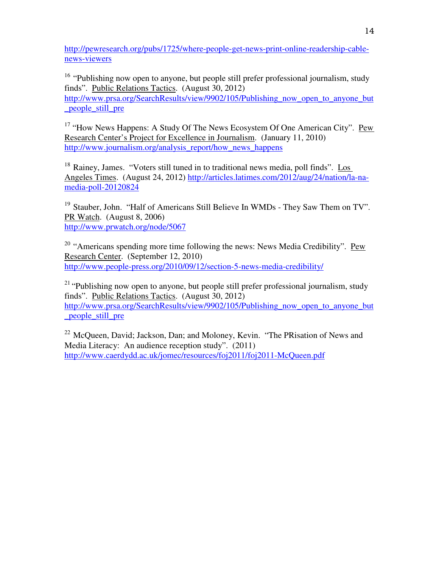http://pewresearch.org/pubs/1725/where-people-get-news-print-online-readership-cablenews-viewers

<sup>16</sup> "Publishing now open to anyone, but people still prefer professional journalism, study finds". Public Relations Tactics. (August 30, 2012) http://www.prsa.org/SearchResults/view/9902/105/Publishing now open to anyone but \_people\_still\_pre

<sup>17</sup> "How News Happens: A Study Of The News Ecosystem Of One American City". Pew Research Center's Project for Excellence in Journalism. (January 11, 2010) http://www.journalism.org/analysis\_report/how\_news\_happens

<sup>18</sup> Rainey, James. "Voters still tuned in to traditional news media, poll finds". Los Angeles Times. (August 24, 2012) http://articles.latimes.com/2012/aug/24/nation/la-namedia-poll-20120824

<sup>19</sup> Stauber, John. "Half of Americans Still Believe In WMDs - They Saw Them on TV". PR Watch. (August 8, 2006) http://www.prwatch.org/node/5067

 $20$  "Americans spending more time following the news: News Media Credibility". Pew Research Center. (September 12, 2010) http://www.people-press.org/2010/09/12/section-5-news-media-credibility/

 $21$  "Publishing now open to anyone, but people still prefer professional journalism, study finds". Public Relations Tactics. (August 30, 2012) http://www.prsa.org/SearchResults/view/9902/105/Publishing now open to anyone but \_people\_still\_pre

 $22$  McQueen, David; Jackson, Dan; and Moloney, Kevin. "The PRisation of News and Media Literacy: An audience reception study". (2011) http://www.caerdydd.ac.uk/jomec/resources/foj2011/foj2011-McQueen.pdf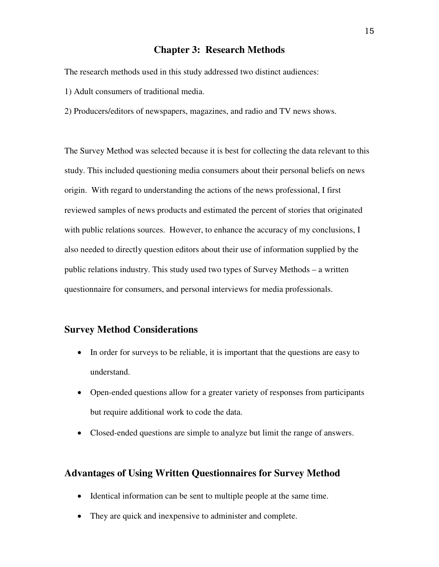#### **Chapter 3: Research Methods**

The research methods used in this study addressed two distinct audiences:

1) Adult consumers of traditional media.

2) Producers/editors of newspapers, magazines, and radio and TV news shows.

The Survey Method was selected because it is best for collecting the data relevant to this study. This included questioning media consumers about their personal beliefs on news origin. With regard to understanding the actions of the news professional, I first reviewed samples of news products and estimated the percent of stories that originated with public relations sources. However, to enhance the accuracy of my conclusions, I also needed to directly question editors about their use of information supplied by the public relations industry. This study used two types of Survey Methods – a written questionnaire for consumers, and personal interviews for media professionals.

#### **Survey Method Considerations**

- In order for surveys to be reliable, it is important that the questions are easy to understand.
- Open-ended questions allow for a greater variety of responses from participants but require additional work to code the data.
- Closed-ended questions are simple to analyze but limit the range of answers.

#### **Advantages of Using Written Questionnaires for Survey Method**

- Identical information can be sent to multiple people at the same time.
- They are quick and inexpensive to administer and complete.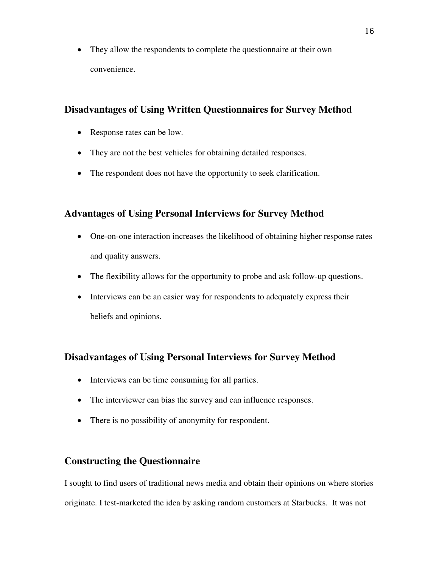• They allow the respondents to complete the questionnaire at their own convenience.

## **Disadvantages of Using Written Questionnaires for Survey Method**

- Response rates can be low.
- They are not the best vehicles for obtaining detailed responses.
- The respondent does not have the opportunity to seek clarification.

## **Advantages of Using Personal Interviews for Survey Method**

- One-on-one interaction increases the likelihood of obtaining higher response rates and quality answers.
- The flexibility allows for the opportunity to probe and ask follow-up questions.
- Interviews can be an easier way for respondents to adequately express their beliefs and opinions.

## **Disadvantages of Using Personal Interviews for Survey Method**

- Interviews can be time consuming for all parties.
- The interviewer can bias the survey and can influence responses.
- There is no possibility of anonymity for respondent.

## **Constructing the Questionnaire**

I sought to find users of traditional news media and obtain their opinions on where stories originate. I test-marketed the idea by asking random customers at Starbucks. It was not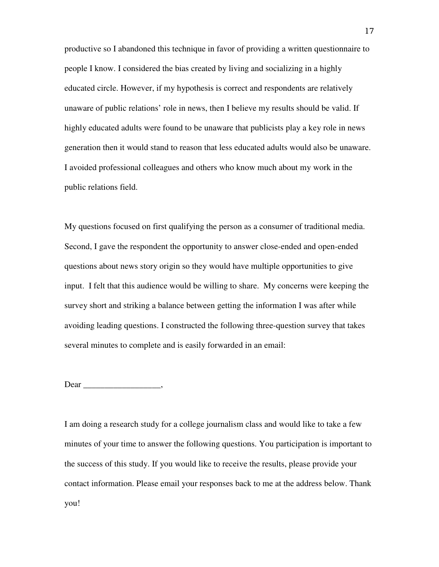productive so I abandoned this technique in favor of providing a written questionnaire to people I know. I considered the bias created by living and socializing in a highly educated circle. However, if my hypothesis is correct and respondents are relatively unaware of public relations' role in news, then I believe my results should be valid. If highly educated adults were found to be unaware that publicists play a key role in news generation then it would stand to reason that less educated adults would also be unaware. I avoided professional colleagues and others who know much about my work in the public relations field.

My questions focused on first qualifying the person as a consumer of traditional media. Second, I gave the respondent the opportunity to answer close-ended and open-ended questions about news story origin so they would have multiple opportunities to give input. I felt that this audience would be willing to share. My concerns were keeping the survey short and striking a balance between getting the information I was after while avoiding leading questions. I constructed the following three-question survey that takes several minutes to complete and is easily forwarded in an email:

#### Dear \_\_\_\_\_\_\_\_\_\_\_\_\_\_\_\_\_\_,

I am doing a research study for a college journalism class and would like to take a few minutes of your time to answer the following questions. You participation is important to the success of this study. If you would like to receive the results, please provide your contact information. Please email your responses back to me at the address below. Thank you!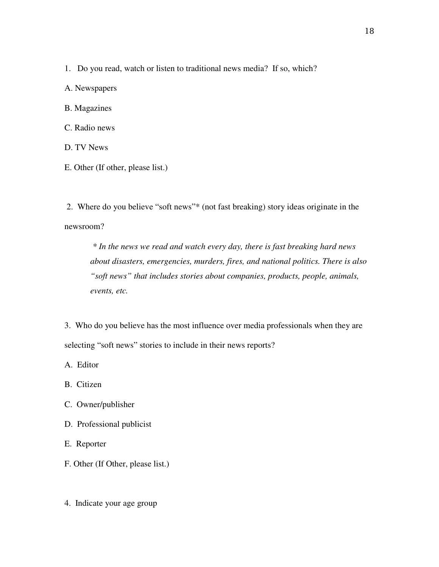1. Do you read, watch or listen to traditional news media? If so, which?

A. Newspapers

B. Magazines

C. Radio news

D. TV News

E. Other (If other, please list.)

 2. Where do you believe "soft news"\* (not fast breaking) story ideas originate in the newsroom?

 *\* In the news we read and watch every day, there is fast breaking hard news about disasters, emergencies, murders, fires, and national politics. There is also "soft news" that includes stories about companies, products, people, animals, events, etc.* 

3. Who do you believe has the most influence over media professionals when they are selecting "soft news" stories to include in their news reports?

A. Editor

B. Citizen

C. Owner/publisher

D. Professional publicist

E. Reporter

F. Other (If Other, please list.)

4. Indicate your age group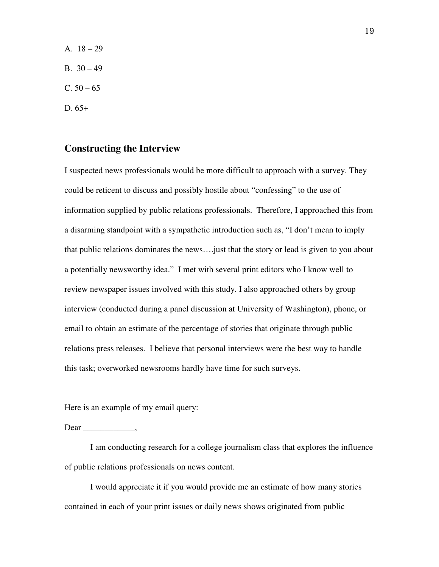A.  $18 - 29$ B.  $30 - 49$  $C. 50 - 65$ D. 65+

#### **Constructing the Interview**

I suspected news professionals would be more difficult to approach with a survey. They could be reticent to discuss and possibly hostile about "confessing" to the use of information supplied by public relations professionals. Therefore, I approached this from a disarming standpoint with a sympathetic introduction such as, "I don't mean to imply that public relations dominates the news….just that the story or lead is given to you about a potentially newsworthy idea." I met with several print editors who I know well to review newspaper issues involved with this study. I also approached others by group interview (conducted during a panel discussion at University of Washington), phone, or email to obtain an estimate of the percentage of stories that originate through public relations press releases. I believe that personal interviews were the best way to handle this task; overworked newsrooms hardly have time for such surveys.

Here is an example of my email query:

Dear .

I am conducting research for a college journalism class that explores the influence of public relations professionals on news content.

I would appreciate it if you would provide me an estimate of how many stories contained in each of your print issues or daily news shows originated from public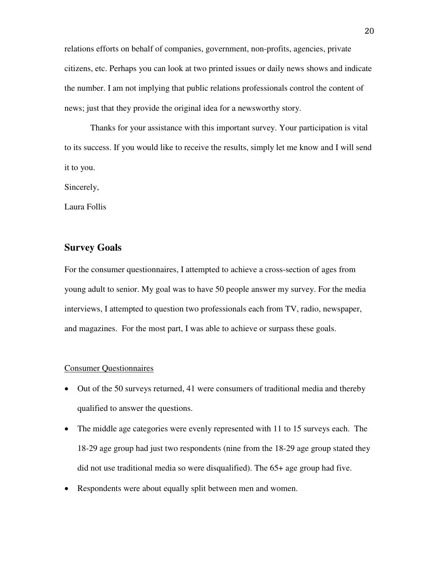relations efforts on behalf of companies, government, non-profits, agencies, private citizens, etc. Perhaps you can look at two printed issues or daily news shows and indicate the number. I am not implying that public relations professionals control the content of news; just that they provide the original idea for a newsworthy story.

Thanks for your assistance with this important survey. Your participation is vital to its success. If you would like to receive the results, simply let me know and I will send it to you.

Sincerely,

Laura Follis

#### **Survey Goals**

For the consumer questionnaires, I attempted to achieve a cross-section of ages from young adult to senior. My goal was to have 50 people answer my survey. For the media interviews, I attempted to question two professionals each from TV, radio, newspaper, and magazines. For the most part, I was able to achieve or surpass these goals.

#### Consumer Questionnaires

- Out of the 50 surveys returned, 41 were consumers of traditional media and thereby qualified to answer the questions.
- The middle age categories were evenly represented with 11 to 15 surveys each. The 18-29 age group had just two respondents (nine from the 18-29 age group stated they did not use traditional media so were disqualified). The 65+ age group had five.
- Respondents were about equally split between men and women.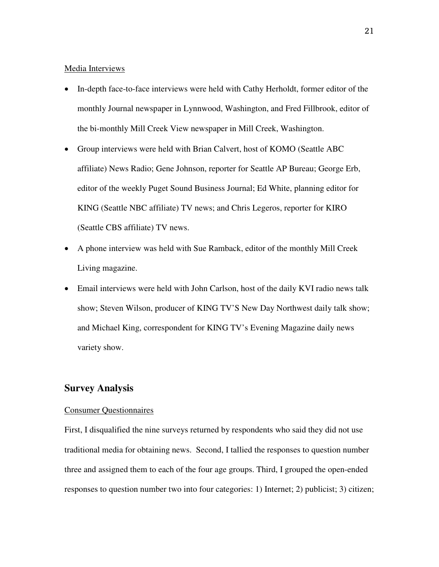#### Media Interviews

- In-depth face-to-face interviews were held with Cathy Herholdt, former editor of the monthly Journal newspaper in Lynnwood, Washington, and Fred Fillbrook, editor of the bi-monthly Mill Creek View newspaper in Mill Creek, Washington.
- Group interviews were held with Brian Calvert, host of KOMO (Seattle ABC) affiliate) News Radio; Gene Johnson, reporter for Seattle AP Bureau; George Erb, editor of the weekly Puget Sound Business Journal; Ed White, planning editor for KING (Seattle NBC affiliate) TV news; and Chris Legeros, reporter for KIRO (Seattle CBS affiliate) TV news.
- A phone interview was held with Sue Ramback, editor of the monthly Mill Creek Living magazine.
- Email interviews were held with John Carlson, host of the daily KVI radio news talk show; Steven Wilson, producer of KING TV'S New Day Northwest daily talk show; and Michael King, correspondent for KING TV's Evening Magazine daily news variety show.

#### **Survey Analysis**

#### Consumer Questionnaires

First, I disqualified the nine surveys returned by respondents who said they did not use traditional media for obtaining news. Second, I tallied the responses to question number three and assigned them to each of the four age groups. Third, I grouped the open-ended responses to question number two into four categories: 1) Internet; 2) publicist; 3) citizen;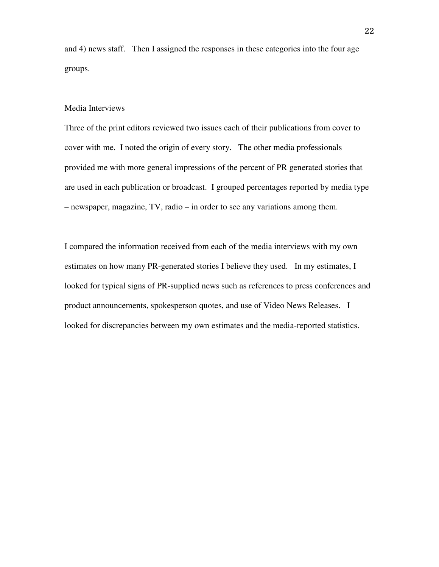and 4) news staff. Then I assigned the responses in these categories into the four age groups.

#### Media Interviews

Three of the print editors reviewed two issues each of their publications from cover to cover with me. I noted the origin of every story. The other media professionals provided me with more general impressions of the percent of PR generated stories that are used in each publication or broadcast. I grouped percentages reported by media type – newspaper, magazine, TV, radio – in order to see any variations among them.

I compared the information received from each of the media interviews with my own estimates on how many PR-generated stories I believe they used. In my estimates, I looked for typical signs of PR-supplied news such as references to press conferences and product announcements, spokesperson quotes, and use of Video News Releases. I looked for discrepancies between my own estimates and the media-reported statistics.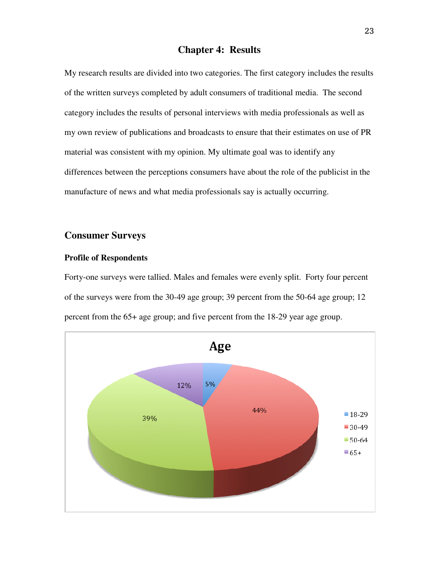## **Chapter 4: Results**

My research results are divided into two categories. The first category includes the results of the written surveys completed by adult consumers of traditional media. The second category includes the results of personal interviews with media professionals as well as my own review of publications and broadcasts to ensure that their estimates on use of PR material was consistent with my opinion. My ultimate goal was to identify any differences between the perceptions consumers have about the role of the publicist in the manufacture of news and what media professionals say is actually occurring.

### **Consumer Surveys**

#### **Profile of Respondents**

Forty-one surveys were tallied. Males and females were evenly split. Forty four percent of the surveys were from the 30-49 age group; 39 percent from the 50-64 age group; 12 percent from the 65+ age group; and five percent from the 18-29 year age group.

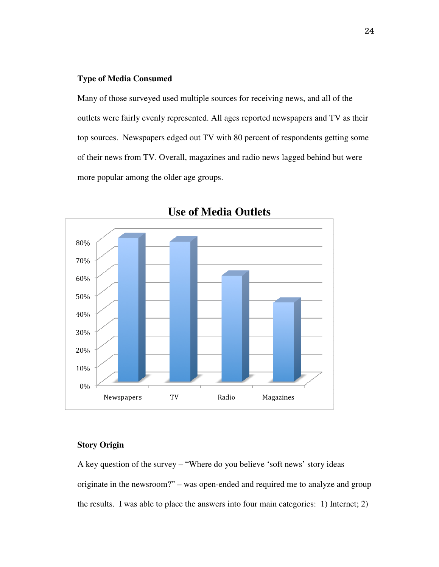#### **Type of Media Consumed**

Many of those surveyed used multiple sources for receiving news, and all of the outlets were fairly evenly represented. All ages reported newspapers and TV as their top sources. Newspapers edged out TV with 80 percent of respondents getting some of their news from TV. Overall, magazines and radio news lagged behind but were more popular among the older age groups.



**Use of Media Outlets** 

#### **Story Origin**

A key question of the survey – "Where do you believe 'soft news' story ideas originate in the newsroom?" – was open-ended and required me to analyze and group the results. I was able to place the answers into four main categories: 1) Internet; 2)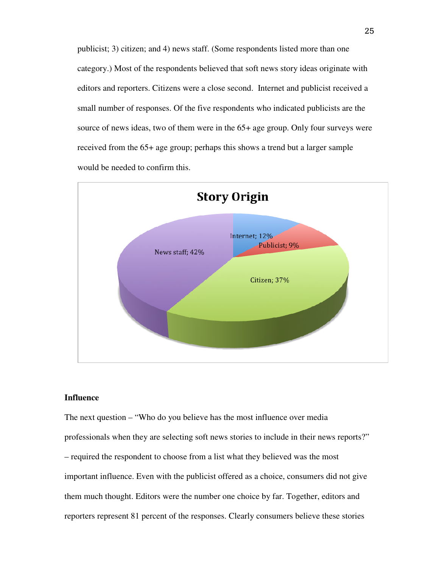publicist; 3) citizen; and 4) news staff. (Some respondents listed more than one category.) Most of the respondents believed that soft news story ideas originate with editors and reporters. Citizens were a close second. Internet and publicist received a small number of responses. Of the five respondents who indicated publicists are the source of news ideas, two of them were in the 65+ age group. Only four surveys were received from the 65+ age group; perhaps this shows a trend but a larger sample would be needed to confirm this.



#### **Influence**

The next question – "Who do you believe has the most influence over media professionals when they are selecting soft news stories to include in their news reports?" – required the respondent to choose from a list what they believed was the most important influence. Even with the publicist offered as a choice, consumers did not give them much thought. Editors were the number one choice by far. Together, editors and reporters represent 81 percent of the responses. Clearly consumers believe these stories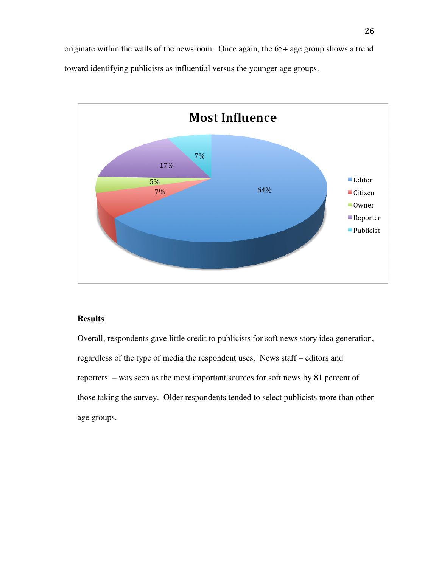originate within the walls of the newsroom. Once again, the 65+ age group shows a trend toward identifying publicists as influential versus the younger age groups.



#### **Results**

Overall, respondents gave little credit to publicists for soft news story idea generation, regardless of the type of media the respondent uses. News staff – editors and reporters – was seen as the most important sources for soft news by 81 percent of those taking the survey. Older respondents tended to select publicists more than other age groups.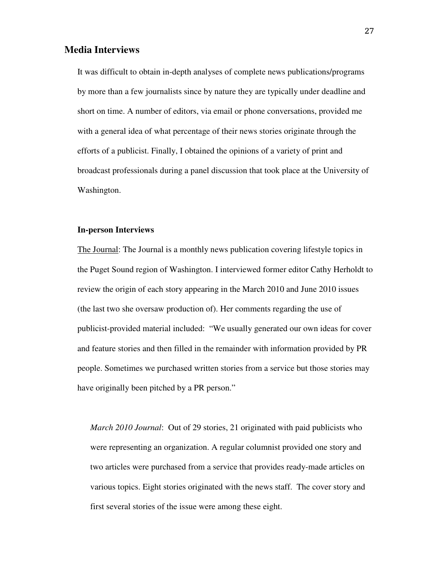#### **Media Interviews**

It was difficult to obtain in-depth analyses of complete news publications/programs by more than a few journalists since by nature they are typically under deadline and short on time. A number of editors, via email or phone conversations, provided me with a general idea of what percentage of their news stories originate through the efforts of a publicist. Finally, I obtained the opinions of a variety of print and broadcast professionals during a panel discussion that took place at the University of Washington.

#### **In-person Interviews**

The Journal: The Journal is a monthly news publication covering lifestyle topics in the Puget Sound region of Washington. I interviewed former editor Cathy Herholdt to review the origin of each story appearing in the March 2010 and June 2010 issues (the last two she oversaw production of). Her comments regarding the use of publicist-provided material included: "We usually generated our own ideas for cover and feature stories and then filled in the remainder with information provided by PR people. Sometimes we purchased written stories from a service but those stories may have originally been pitched by a PR person."

*March 2010 Journal*: Out of 29 stories, 21 originated with paid publicists who were representing an organization. A regular columnist provided one story and two articles were purchased from a service that provides ready-made articles on various topics. Eight stories originated with the news staff. The cover story and first several stories of the issue were among these eight.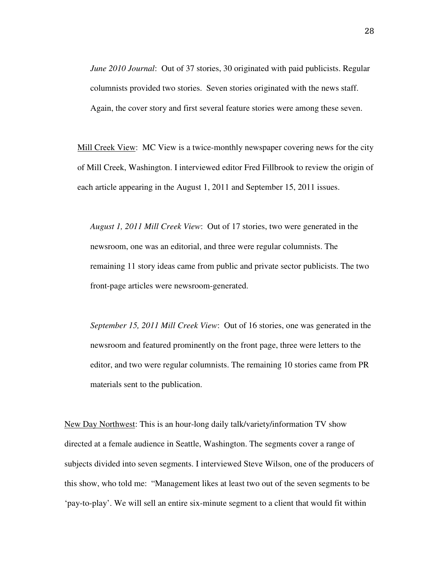*June 2010 Journal*: Out of 37 stories, 30 originated with paid publicists. Regular columnists provided two stories. Seven stories originated with the news staff. Again, the cover story and first several feature stories were among these seven.

Mill Creek View: MC View is a twice-monthly newspaper covering news for the city of Mill Creek, Washington. I interviewed editor Fred Fillbrook to review the origin of each article appearing in the August 1, 2011 and September 15, 2011 issues.

*August 1, 2011 Mill Creek View*: Out of 17 stories, two were generated in the newsroom, one was an editorial, and three were regular columnists. The remaining 11 story ideas came from public and private sector publicists. The two front-page articles were newsroom-generated.

*September 15, 2011 Mill Creek View*: Out of 16 stories, one was generated in the newsroom and featured prominently on the front page, three were letters to the editor, and two were regular columnists. The remaining 10 stories came from PR materials sent to the publication.

New Day Northwest: This is an hour-long daily talk/variety/information TV show directed at a female audience in Seattle, Washington. The segments cover a range of subjects divided into seven segments. I interviewed Steve Wilson, one of the producers of this show, who told me: "Management likes at least two out of the seven segments to be 'pay-to-play'. We will sell an entire six-minute segment to a client that would fit within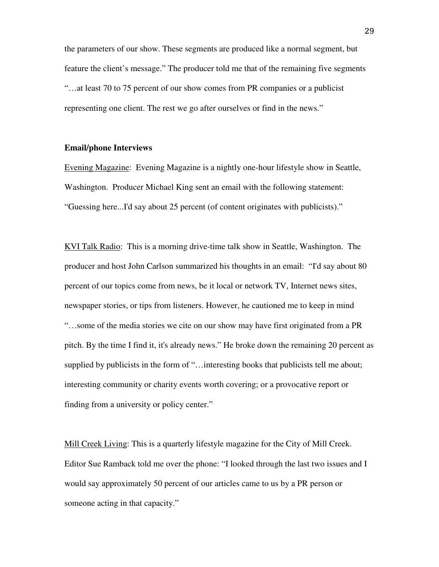the parameters of our show. These segments are produced like a normal segment, but feature the client's message." The producer told me that of the remaining five segments "…at least 70 to 75 percent of our show comes from PR companies or a publicist representing one client. The rest we go after ourselves or find in the news."

#### **Email/phone Interviews**

Evening Magazine: Evening Magazine is a nightly one-hour lifestyle show in Seattle, Washington. Producer Michael King sent an email with the following statement: "Guessing here...I'd say about 25 percent (of content originates with publicists)."

KVI Talk Radio: This is a morning drive-time talk show in Seattle, Washington. The producer and host John Carlson summarized his thoughts in an email: "I'd say about 80 percent of our topics come from news, be it local or network TV, Internet news sites, newspaper stories, or tips from listeners. However, he cautioned me to keep in mind "…some of the media stories we cite on our show may have first originated from a PR pitch. By the time I find it, it's already news." He broke down the remaining 20 percent as supplied by publicists in the form of "... interesting books that publicists tell me about; interesting community or charity events worth covering; or a provocative report or finding from a university or policy center."

Mill Creek Living: This is a quarterly lifestyle magazine for the City of Mill Creek. Editor Sue Ramback told me over the phone: "I looked through the last two issues and I would say approximately 50 percent of our articles came to us by a PR person or someone acting in that capacity."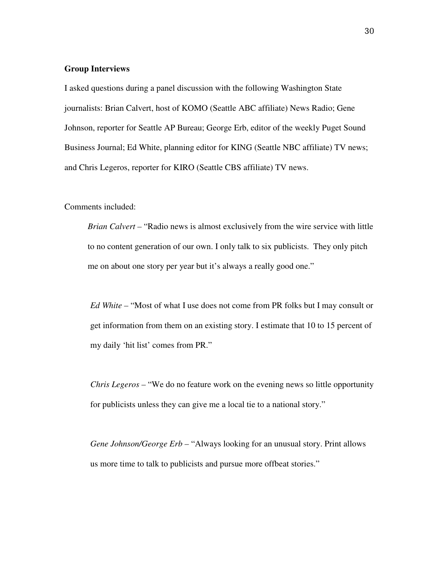#### **Group Interviews**

I asked questions during a panel discussion with the following Washington State journalists: Brian Calvert, host of KOMO (Seattle ABC affiliate) News Radio; Gene Johnson, reporter for Seattle AP Bureau; George Erb, editor of the weekly Puget Sound Business Journal; Ed White, planning editor for KING (Seattle NBC affiliate) TV news; and Chris Legeros, reporter for KIRO (Seattle CBS affiliate) TV news.

Comments included:

*Brian Calvert –* "Radio news is almost exclusively from the wire service with little to no content generation of our own. I only talk to six publicists. They only pitch me on about one story per year but it's always a really good one."

*Ed White –* "Most of what I use does not come from PR folks but I may consult or get information from them on an existing story. I estimate that 10 to 15 percent of my daily 'hit list' comes from PR."

 *Chris Legeros –* "We do no feature work on the evening news so little opportunity for publicists unless they can give me a local tie to a national story."

 *Gene Johnson/George Erb –* "Always looking for an unusual story. Print allows us more time to talk to publicists and pursue more offbeat stories."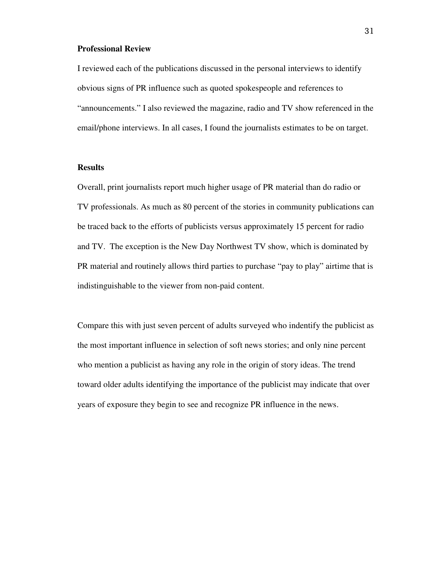#### **Professional Review**

I reviewed each of the publications discussed in the personal interviews to identify obvious signs of PR influence such as quoted spokespeople and references to "announcements." I also reviewed the magazine, radio and TV show referenced in the email/phone interviews. In all cases, I found the journalists estimates to be on target.

#### **Results**

Overall, print journalists report much higher usage of PR material than do radio or TV professionals. As much as 80 percent of the stories in community publications can be traced back to the efforts of publicists versus approximately 15 percent for radio and TV. The exception is the New Day Northwest TV show, which is dominated by PR material and routinely allows third parties to purchase "pay to play" airtime that is indistinguishable to the viewer from non-paid content.

Compare this with just seven percent of adults surveyed who indentify the publicist as the most important influence in selection of soft news stories; and only nine percent who mention a publicist as having any role in the origin of story ideas. The trend toward older adults identifying the importance of the publicist may indicate that over years of exposure they begin to see and recognize PR influence in the news.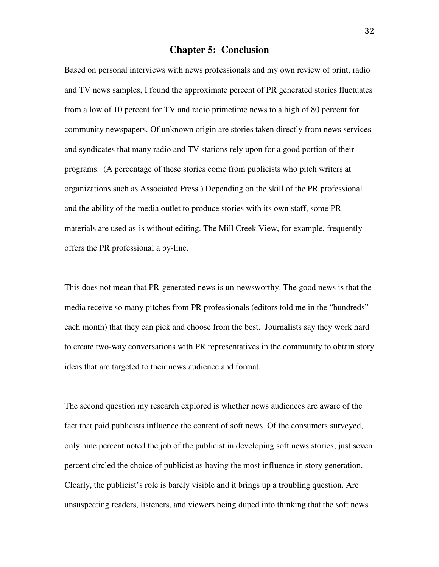#### **Chapter 5: Conclusion**

Based on personal interviews with news professionals and my own review of print, radio and TV news samples, I found the approximate percent of PR generated stories fluctuates from a low of 10 percent for TV and radio primetime news to a high of 80 percent for community newspapers. Of unknown origin are stories taken directly from news services and syndicates that many radio and TV stations rely upon for a good portion of their programs. (A percentage of these stories come from publicists who pitch writers at organizations such as Associated Press.) Depending on the skill of the PR professional and the ability of the media outlet to produce stories with its own staff, some PR materials are used as-is without editing. The Mill Creek View, for example, frequently offers the PR professional a by-line.

This does not mean that PR-generated news is un-newsworthy. The good news is that the media receive so many pitches from PR professionals (editors told me in the "hundreds" each month) that they can pick and choose from the best. Journalists say they work hard to create two-way conversations with PR representatives in the community to obtain story ideas that are targeted to their news audience and format.

The second question my research explored is whether news audiences are aware of the fact that paid publicists influence the content of soft news. Of the consumers surveyed, only nine percent noted the job of the publicist in developing soft news stories; just seven percent circled the choice of publicist as having the most influence in story generation. Clearly, the publicist's role is barely visible and it brings up a troubling question. Are unsuspecting readers, listeners, and viewers being duped into thinking that the soft news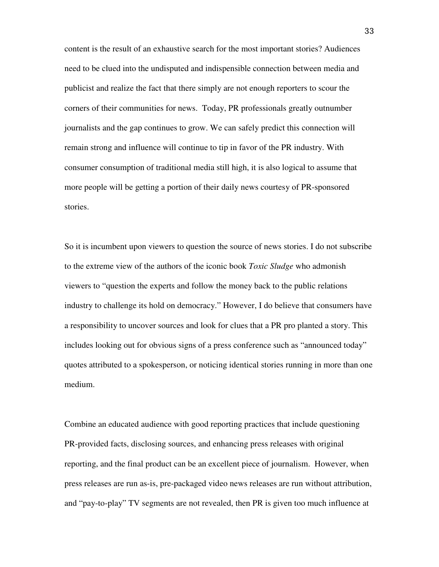content is the result of an exhaustive search for the most important stories? Audiences need to be clued into the undisputed and indispensible connection between media and publicist and realize the fact that there simply are not enough reporters to scour the corners of their communities for news. Today, PR professionals greatly outnumber journalists and the gap continues to grow. We can safely predict this connection will remain strong and influence will continue to tip in favor of the PR industry. With consumer consumption of traditional media still high, it is also logical to assume that more people will be getting a portion of their daily news courtesy of PR-sponsored stories.

So it is incumbent upon viewers to question the source of news stories. I do not subscribe to the extreme view of the authors of the iconic book *Toxic Sludge* who admonish viewers to "question the experts and follow the money back to the public relations industry to challenge its hold on democracy." However, I do believe that consumers have a responsibility to uncover sources and look for clues that a PR pro planted a story. This includes looking out for obvious signs of a press conference such as "announced today" quotes attributed to a spokesperson, or noticing identical stories running in more than one medium.

Combine an educated audience with good reporting practices that include questioning PR-provided facts, disclosing sources, and enhancing press releases with original reporting, and the final product can be an excellent piece of journalism. However, when press releases are run as-is, pre-packaged video news releases are run without attribution, and "pay-to-play" TV segments are not revealed, then PR is given too much influence at